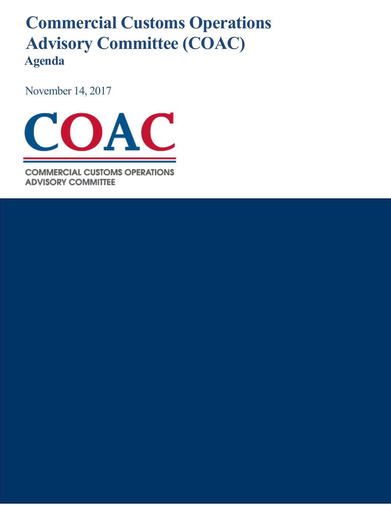## **Commercial Customs Operations Advisory Committee (COAC) Agenda**

November 14, 2017



**COMMERCIAL CUSTOMS OPERATIONS ADVISORY COMMITTEE**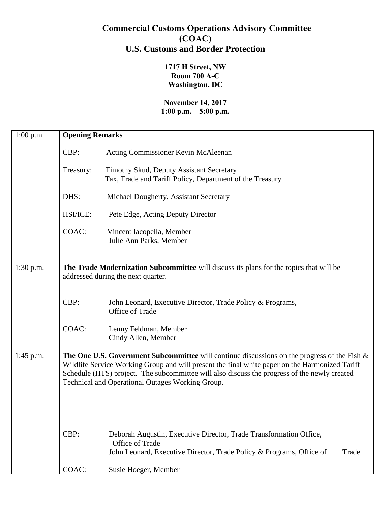## **Commercial Customs Operations Advisory Committee (COAC) U.S. Customs and Border Protection**

**1717 H Street, NW Room 700 A-C Washington, DC**

## **November 14, 2017 1:00 p.m. – 5:00 p.m.**

| $1:00$ p.m. | <b>Opening Remarks</b> |                                                                                                                                                                                                                                                                                                                                                       |  |
|-------------|------------------------|-------------------------------------------------------------------------------------------------------------------------------------------------------------------------------------------------------------------------------------------------------------------------------------------------------------------------------------------------------|--|
|             | CBP:                   | Acting Commissioner Kevin McAleenan                                                                                                                                                                                                                                                                                                                   |  |
|             | Treasury:              | Timothy Skud, Deputy Assistant Secretary<br>Tax, Trade and Tariff Policy, Department of the Treasury                                                                                                                                                                                                                                                  |  |
|             | DHS:                   | Michael Dougherty, Assistant Secretary                                                                                                                                                                                                                                                                                                                |  |
|             | HSI/ICE:               | Pete Edge, Acting Deputy Director                                                                                                                                                                                                                                                                                                                     |  |
|             | COAC:                  | Vincent Iacopella, Member<br>Julie Ann Parks, Member                                                                                                                                                                                                                                                                                                  |  |
| $1:30$ p.m. |                        | The Trade Modernization Subcommittee will discuss its plans for the topics that will be<br>addressed during the next quarter.                                                                                                                                                                                                                         |  |
|             | CBP:                   | John Leonard, Executive Director, Trade Policy & Programs,<br>Office of Trade                                                                                                                                                                                                                                                                         |  |
|             | COAC:                  | Lenny Feldman, Member<br>Cindy Allen, Member                                                                                                                                                                                                                                                                                                          |  |
| $1:45$ p.m. |                        | The One U.S. Government Subcommittee will continue discussions on the progress of the Fish $\&$<br>Wildlife Service Working Group and will present the final white paper on the Harmonized Tariff<br>Schedule (HTS) project. The subcommittee will also discuss the progress of the newly created<br>Technical and Operational Outages Working Group. |  |
|             | CBP:                   | Deborah Augustin, Executive Director, Trade Transformation Office,<br>Office of Trade<br>John Leonard, Executive Director, Trade Policy & Programs, Office of<br>Trade                                                                                                                                                                                |  |
|             | COAC:                  | Susie Hoeger, Member                                                                                                                                                                                                                                                                                                                                  |  |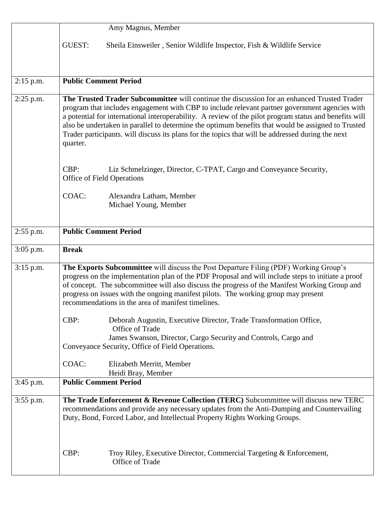|             | Amy Magnus, Member                                                                                                                                                                                                                                                                                                                                                                                                                       |  |
|-------------|------------------------------------------------------------------------------------------------------------------------------------------------------------------------------------------------------------------------------------------------------------------------------------------------------------------------------------------------------------------------------------------------------------------------------------------|--|
|             | <b>GUEST:</b><br>Sheila Einsweiler, Senior Wildlife Inspector, Fish & Wildlife Service                                                                                                                                                                                                                                                                                                                                                   |  |
| $2:15$ p.m. | <b>Public Comment Period</b>                                                                                                                                                                                                                                                                                                                                                                                                             |  |
|             | The Trusted Trader Subcommittee will continue the discussion for an enhanced Trusted Trader                                                                                                                                                                                                                                                                                                                                              |  |
| $2:25$ p.m. | program that includes engagement with CBP to include relevant partner government agencies with<br>a potential for international interoperability. A review of the pilot program status and benefits will<br>also be undertaken in parallel to determine the optimum benefits that would be assigned to Trusted<br>Trader participants. will discuss its plans for the topics that will be addressed during the next<br>quarter.          |  |
|             | CBP:<br>Liz Schmelzinger, Director, C-TPAT, Cargo and Conveyance Security,<br>Office of Field Operations                                                                                                                                                                                                                                                                                                                                 |  |
|             | COAC:<br>Alexandra Latham, Member<br>Michael Young, Member                                                                                                                                                                                                                                                                                                                                                                               |  |
| $2:55$ p.m. | <b>Public Comment Period</b>                                                                                                                                                                                                                                                                                                                                                                                                             |  |
| $3:05$ p.m. | <b>Break</b>                                                                                                                                                                                                                                                                                                                                                                                                                             |  |
| $3:15$ p.m. | The Exports Subcommittee will discuss the Post Departure Filing (PDF) Working Group's<br>progress on the implementation plan of the PDF Proposal and will include steps to initiate a proof<br>of concept. The subcommittee will also discuss the progress of the Manifest Working Group and<br>progress on issues with the ongoing manifest pilots. The working group may present<br>recommendations in the area of manifest timelines. |  |
|             | CBP:<br>Deborah Augustin, Executive Director, Trade Transformation Office,<br>Office of Trade                                                                                                                                                                                                                                                                                                                                            |  |
|             | James Swanson, Director, Cargo Security and Controls, Cargo and<br>Conveyance Security, Office of Field Operations.                                                                                                                                                                                                                                                                                                                      |  |
|             | COAC:<br>Elizabeth Merritt, Member<br>Heidi Bray, Member                                                                                                                                                                                                                                                                                                                                                                                 |  |
| $3:45$ p.m. | <b>Public Comment Period</b>                                                                                                                                                                                                                                                                                                                                                                                                             |  |
| $3:55$ p.m. | The Trade Enforcement & Revenue Collection (TERC) Subcommittee will discuss new TERC<br>recommendations and provide any necessary updates from the Anti-Dumping and Countervailing<br>Duty, Bond, Forced Labor, and Intellectual Property Rights Working Groups.                                                                                                                                                                         |  |
|             | CBP:<br>Troy Riley, Executive Director, Commercial Targeting & Enforcement,<br>Office of Trade                                                                                                                                                                                                                                                                                                                                           |  |